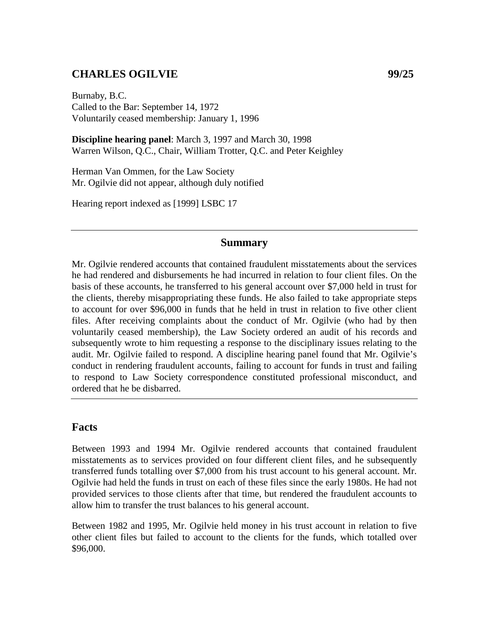# **CHARLES OGILVIE 99/25**

Burnaby, B.C. Called to the Bar: September 14, 1972 Voluntarily ceased membership: January 1, 1996

**Discipline hearing panel**: March 3, 1997 and March 30, 1998 Warren Wilson, Q.C., Chair, William Trotter, Q.C. and Peter Keighley

Herman Van Ommen, for the Law Society Mr. Ogilvie did not appear, although duly notified

Hearing report indexed as [1999] LSBC 17

## **Summary**

Mr. Ogilvie rendered accounts that contained fraudulent misstatements about the services he had rendered and disbursements he had incurred in relation to four client files. On the basis of these accounts, he transferred to his general account over \$7,000 held in trust for the clients, thereby misappropriating these funds. He also failed to take appropriate steps to account for over \$96,000 in funds that he held in trust in relation to five other client files. After receiving complaints about the conduct of Mr. Ogilvie (who had by then voluntarily ceased membership), the Law Society ordered an audit of his records and subsequently wrote to him requesting a response to the disciplinary issues relating to the audit. Mr. Ogilvie failed to respond. A discipline hearing panel found that Mr. Ogilvie's conduct in rendering fraudulent accounts, failing to account for funds in trust and failing to respond to Law Society correspondence constituted professional misconduct, and ordered that he be disbarred.

# **Facts**

Between 1993 and 1994 Mr. Ogilvie rendered accounts that contained fraudulent misstatements as to services provided on four different client files, and he subsequently transferred funds totalling over \$7,000 from his trust account to his general account. Mr. Ogilvie had held the funds in trust on each of these files since the early 1980s. He had not provided services to those clients after that time, but rendered the fraudulent accounts to allow him to transfer the trust balances to his general account.

Between 1982 and 1995, Mr. Ogilvie held money in his trust account in relation to five other client files but failed to account to the clients for the funds, which totalled over \$96,000.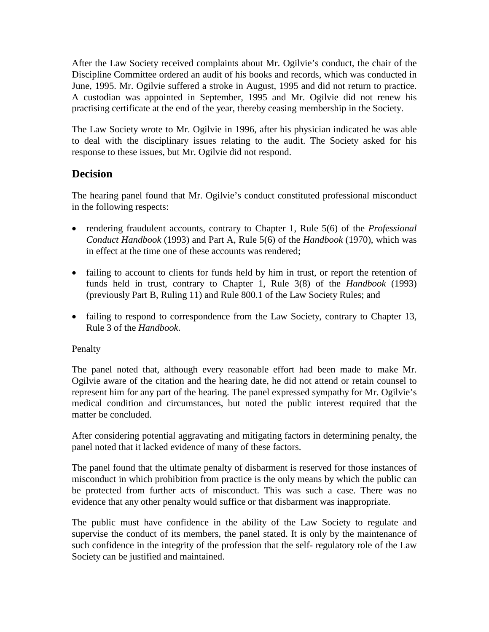After the Law Society received complaints about Mr. Ogilvie's conduct, the chair of the Discipline Committee ordered an audit of his books and records, which was conducted in June, 1995. Mr. Ogilvie suffered a stroke in August, 1995 and did not return to practice. A custodian was appointed in September, 1995 and Mr. Ogilvie did not renew his practising certificate at the end of the year, thereby ceasing membership in the Society.

The Law Society wrote to Mr. Ogilvie in 1996, after his physician indicated he was able to deal with the disciplinary issues relating to the audit. The Society asked for his response to these issues, but Mr. Ogilvie did not respond.

# **Decision**

The hearing panel found that Mr. Ogilvie's conduct constituted professional misconduct in the following respects:

- rendering fraudulent accounts, contrary to Chapter 1, Rule 5(6) of the *Professional Conduct Handbook* (1993) and Part A, Rule 5(6) of the *Handbook* (1970), which was in effect at the time one of these accounts was rendered;
- failing to account to clients for funds held by him in trust, or report the retention of funds held in trust, contrary to Chapter 1, Rule 3(8) of the *Handbook* (1993) (previously Part B, Ruling 11) and Rule 800.1 of the Law Society Rules; and
- failing to respond to correspondence from the Law Society, contrary to Chapter 13, Rule 3 of the *Handbook*.

## Penalty

The panel noted that, although every reasonable effort had been made to make Mr. Ogilvie aware of the citation and the hearing date, he did not attend or retain counsel to represent him for any part of the hearing. The panel expressed sympathy for Mr. Ogilvie's medical condition and circumstances, but noted the public interest required that the matter be concluded.

After considering potential aggravating and mitigating factors in determining penalty, the panel noted that it lacked evidence of many of these factors.

The panel found that the ultimate penalty of disbarment is reserved for those instances of misconduct in which prohibition from practice is the only means by which the public can be protected from further acts of misconduct. This was such a case. There was no evidence that any other penalty would suffice or that disbarment was inappropriate.

The public must have confidence in the ability of the Law Society to regulate and supervise the conduct of its members, the panel stated. It is only by the maintenance of such confidence in the integrity of the profession that the self- regulatory role of the Law Society can be justified and maintained.